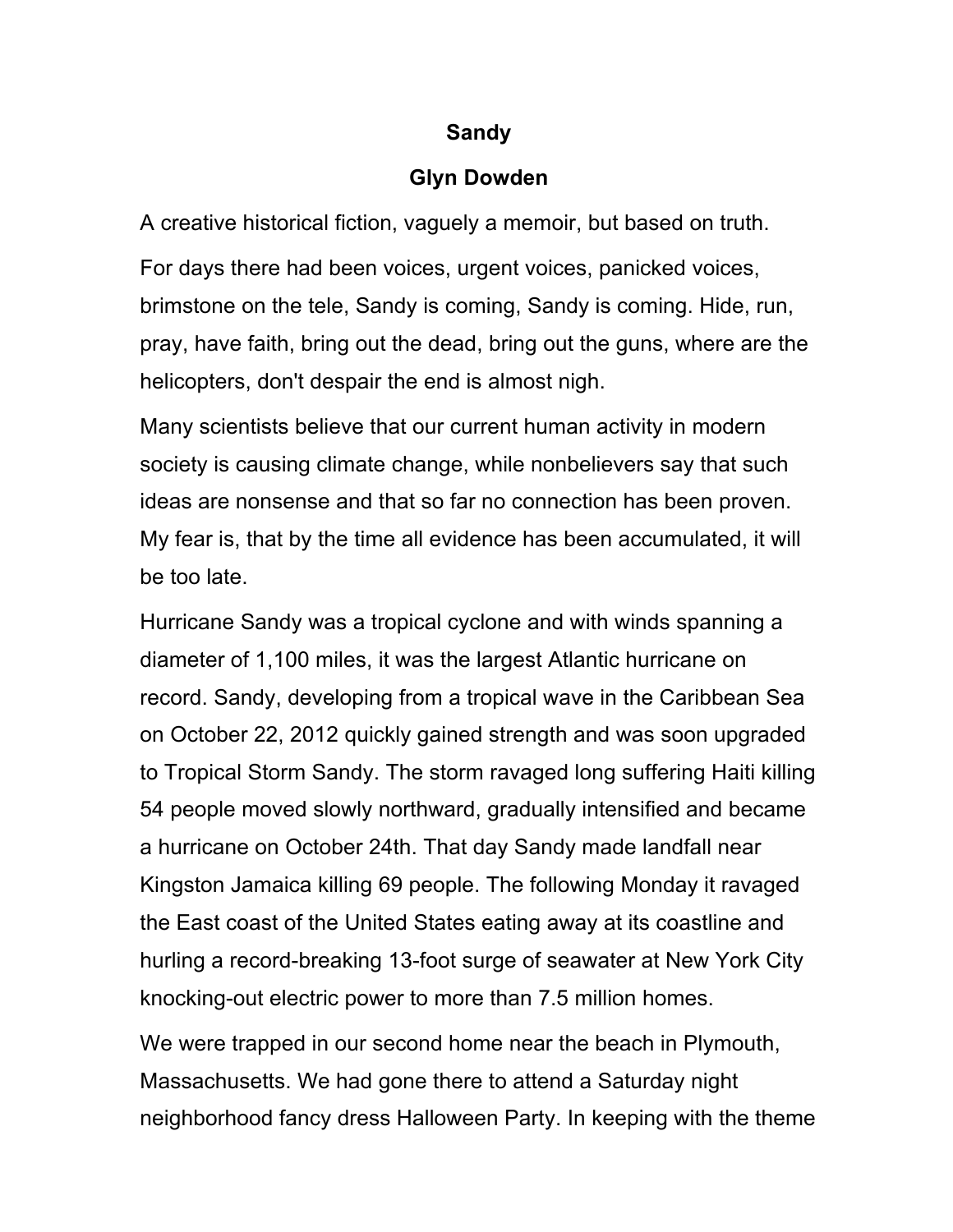## **Sandy**

## **Glyn Dowden**

A creative historical fiction, vaguely a memoir, but based on truth. For days there had been voices, urgent voices, panicked voices, brimstone on the tele, Sandy is coming, Sandy is coming. Hide, run, pray, have faith, bring out the dead, bring out the guns, where are the helicopters, don't despair the end is almost nigh.

Many scientists believe that our current human activity in modern society is causing climate change, while nonbelievers say that such ideas are nonsense and that so far no connection has been proven. My fear is, that by the time all evidence has been accumulated, it will be too late.

Hurricane Sandy was a tropical cyclone and with winds spanning a diameter of 1,100 miles, it was the largest Atlantic hurricane on record. Sandy, developing from a tropical wave in the Caribbean Sea on October 22, 2012 quickly gained strength and was soon upgraded to Tropical Storm Sandy. The storm ravaged long suffering Haiti killing 54 people moved slowly northward, gradually intensified and became a hurricane on October 24th. That day Sandy made landfall near Kingston Jamaica killing 69 people. The following Monday it ravaged the East coast of the United States eating away at its coastline and hurling a record-breaking 13-foot surge of seawater at New York City knocking-out electric power to more than 7.5 million homes.

We were trapped in our second home near the beach in Plymouth, Massachusetts. We had gone there to attend a Saturday night neighborhood fancy dress Halloween Party. In keeping with the theme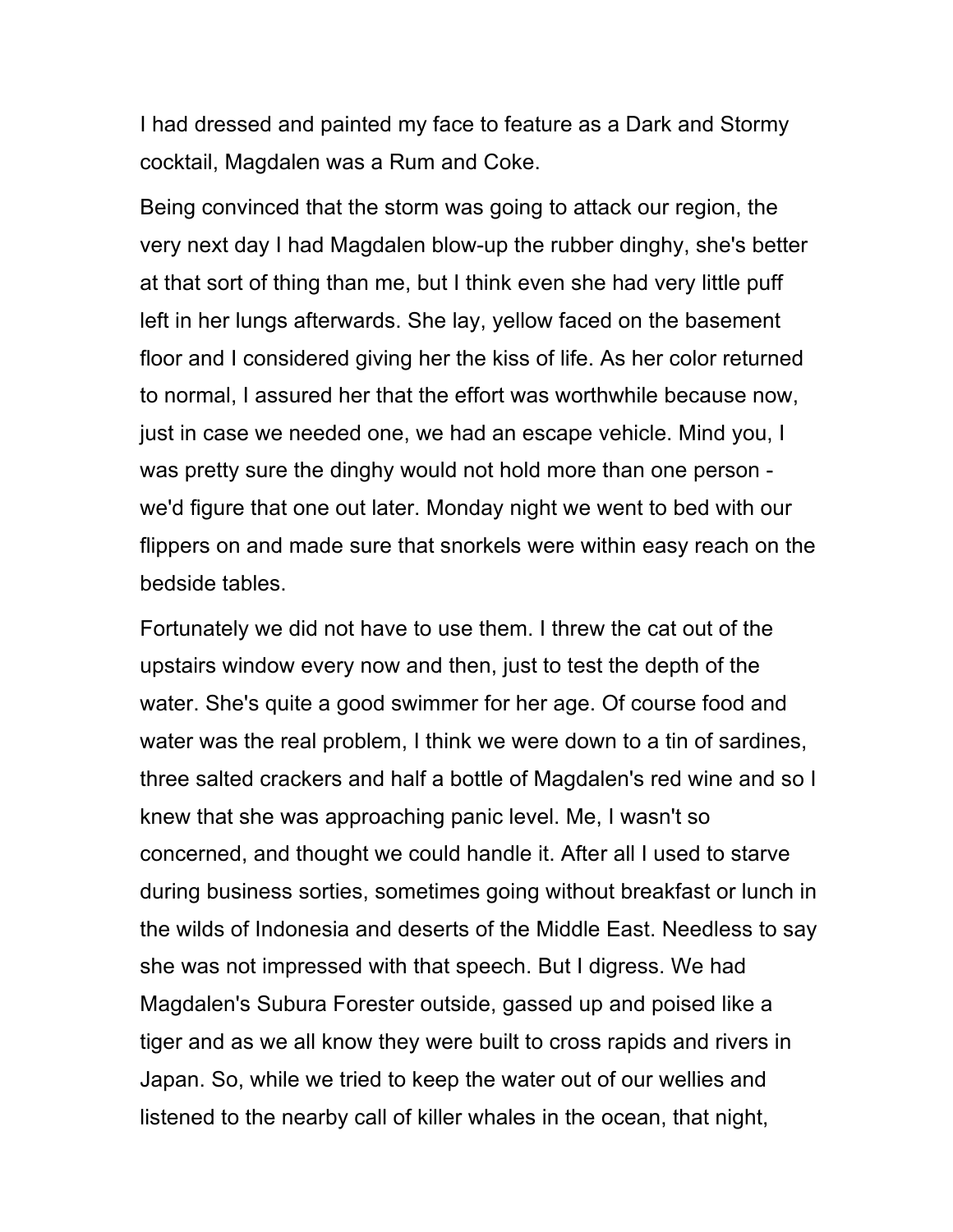I had dressed and painted my face to feature as a Dark and Stormy cocktail, Magdalen was a Rum and Coke.

Being convinced that the storm was going to attack our region, the very next day I had Magdalen blow-up the rubber dinghy, she's better at that sort of thing than me, but I think even she had very little puff left in her lungs afterwards. She lay, yellow faced on the basement floor and I considered giving her the kiss of life. As her color returned to normal, I assured her that the effort was worthwhile because now, just in case we needed one, we had an escape vehicle. Mind you, I was pretty sure the dinghy would not hold more than one person we'd figure that one out later. Monday night we went to bed with our flippers on and made sure that snorkels were within easy reach on the bedside tables.

Fortunately we did not have to use them. I threw the cat out of the upstairs window every now and then, just to test the depth of the water. She's quite a good swimmer for her age. Of course food and water was the real problem, I think we were down to a tin of sardines, three salted crackers and half a bottle of Magdalen's red wine and so I knew that she was approaching panic level. Me, I wasn't so concerned, and thought we could handle it. After all I used to starve during business sorties, sometimes going without breakfast or lunch in the wilds of Indonesia and deserts of the Middle East. Needless to say she was not impressed with that speech. But I digress. We had Magdalen's Subura Forester outside, gassed up and poised like a tiger and as we all know they were built to cross rapids and rivers in Japan. So, while we tried to keep the water out of our wellies and listened to the nearby call of killer whales in the ocean, that night,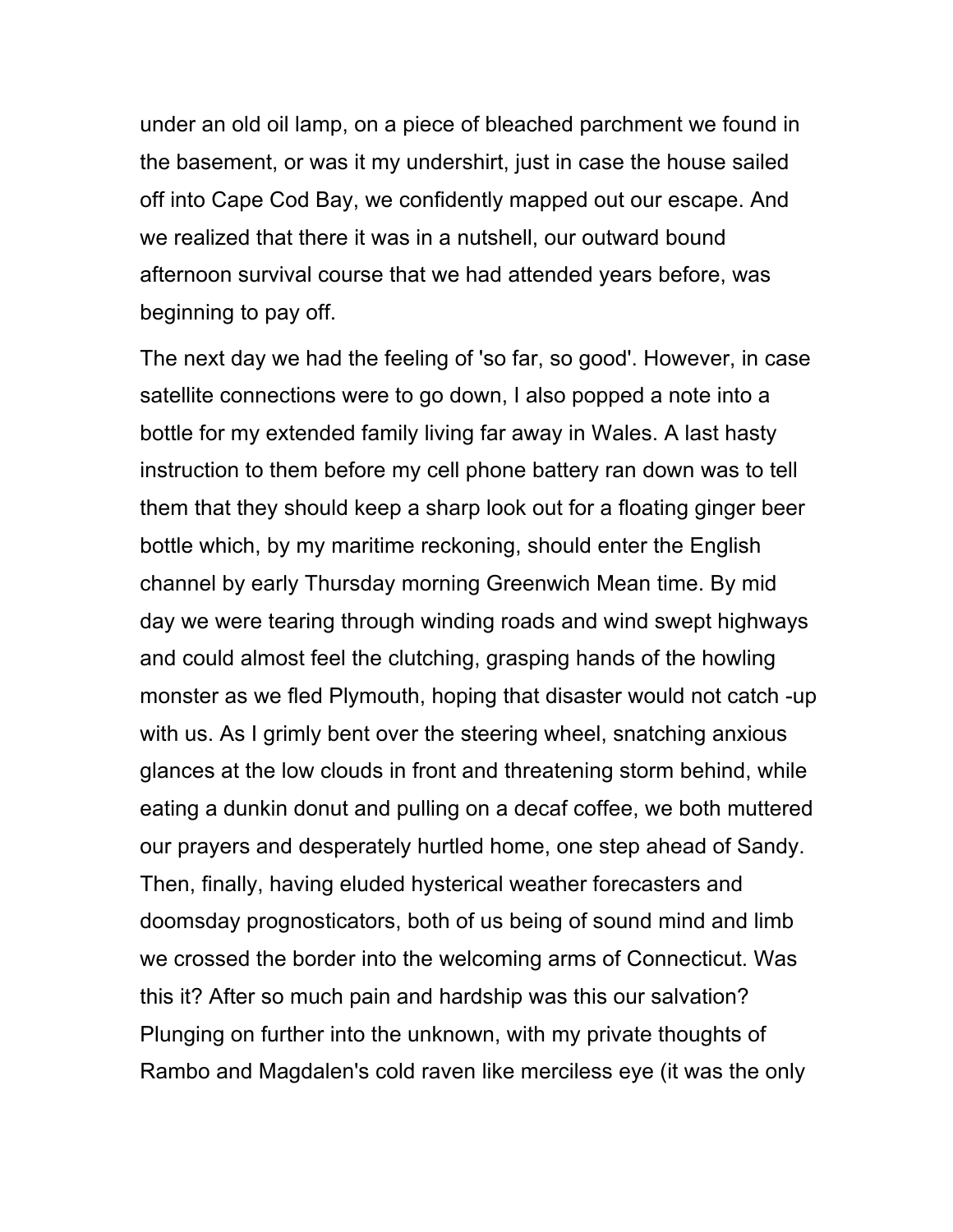under an old oil lamp, on a piece of bleached parchment we found in the basement, or was it my undershirt, just in case the house sailed off into Cape Cod Bay, we confidently mapped out our escape. And we realized that there it was in a nutshell, our outward bound afternoon survival course that we had attended years before, was beginning to pay off.

The next day we had the feeling of 'so far, so good'. However, in case satellite connections were to go down, I also popped a note into a bottle for my extended family living far away in Wales. A last hasty instruction to them before my cell phone battery ran down was to tell them that they should keep a sharp look out for a floating ginger beer bottle which, by my maritime reckoning, should enter the English channel by early Thursday morning Greenwich Mean time. By mid day we were tearing through winding roads and wind swept highways and could almost feel the clutching, grasping hands of the howling monster as we fled Plymouth, hoping that disaster would not catch -up with us. As I grimly bent over the steering wheel, snatching anxious glances at the low clouds in front and threatening storm behind, while eating a dunkin donut and pulling on a decaf coffee, we both muttered our prayers and desperately hurtled home, one step ahead of Sandy. Then, finally, having eluded hysterical weather forecasters and doomsday prognosticators, both of us being of sound mind and limb we crossed the border into the welcoming arms of Connecticut. Was this it? After so much pain and hardship was this our salvation? Plunging on further into the unknown, with my private thoughts of Rambo and Magdalen's cold raven like merciless eye (it was the only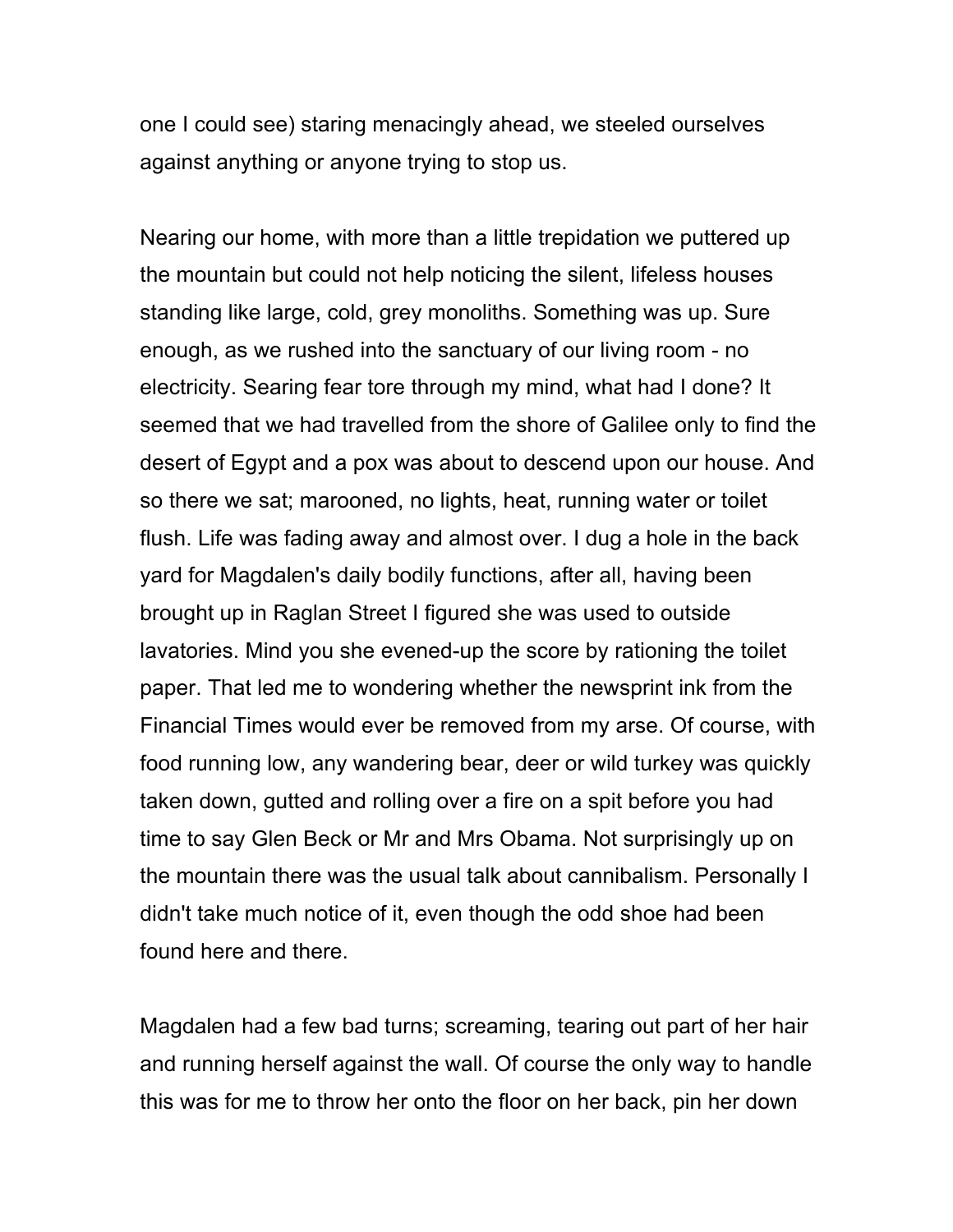one I could see) staring menacingly ahead, we steeled ourselves against anything or anyone trying to stop us.

Nearing our home, with more than a little trepidation we puttered up the mountain but could not help noticing the silent, lifeless houses standing like large, cold, grey monoliths. Something was up. Sure enough, as we rushed into the sanctuary of our living room - no electricity. Searing fear tore through my mind, what had I done? It seemed that we had travelled from the shore of Galilee only to find the desert of Egypt and a pox was about to descend upon our house. And so there we sat; marooned, no lights, heat, running water or toilet flush. Life was fading away and almost over. I dug a hole in the back yard for Magdalen's daily bodily functions, after all, having been brought up in Raglan Street I figured she was used to outside lavatories. Mind you she evened-up the score by rationing the toilet paper. That led me to wondering whether the newsprint ink from the Financial Times would ever be removed from my arse. Of course, with food running low, any wandering bear, deer or wild turkey was quickly taken down, gutted and rolling over a fire on a spit before you had time to say Glen Beck or Mr and Mrs Obama. Not surprisingly up on the mountain there was the usual talk about cannibalism. Personally I didn't take much notice of it, even though the odd shoe had been found here and there.

Magdalen had a few bad turns; screaming, tearing out part of her hair and running herself against the wall. Of course the only way to handle this was for me to throw her onto the floor on her back, pin her down